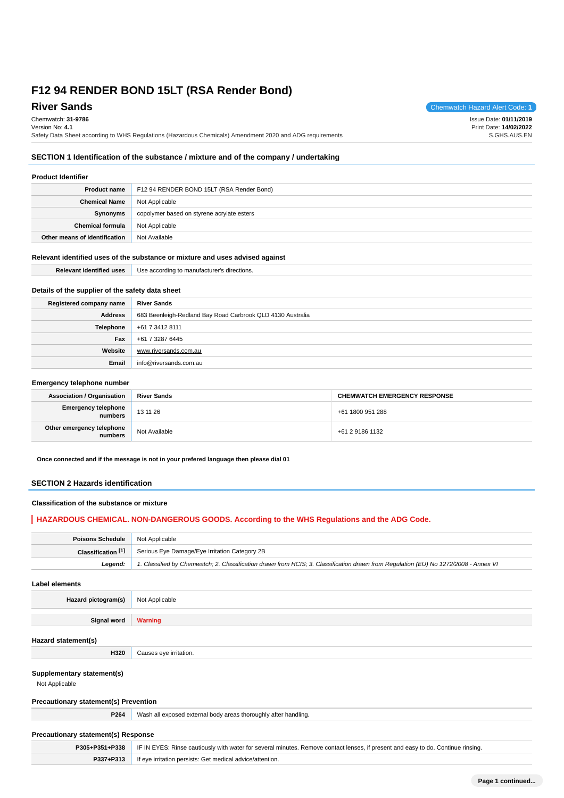**River Sands** Chemwatch Hazard Alert Code: **1** Chemwatch: **31-9786** Version No: **4.1** Safety Data Sheet according to WHS Regulations (Hazardous Chemicals) Amendment 2020 and ADG requirements Issue Date: **01/11/2019** Print Date: **14/02/2022** S.GHS.AUS.EN

# **SECTION 1 Identification of the substance / mixture and of the company / undertaking**

## **Product Identifier**

| <b>Product name</b>           | F12 94 RENDER BOND 15LT (RSA Render Bond)  |
|-------------------------------|--------------------------------------------|
| <b>Chemical Name</b>          | Not Applicable                             |
| Synonyms                      | copolymer based on styrene acrylate esters |
| <b>Chemical formula</b>       | Not Applicable                             |
| Other means of identification | Not Available                              |

## **Relevant identified uses of the substance or mixture and uses advised against**

| <b>Relevant identified uses</b>                  | Use according to manufacturer's directions.                |  |  |
|--------------------------------------------------|------------------------------------------------------------|--|--|
| Details of the supplier of the safety data sheet |                                                            |  |  |
| Registered company name                          | <b>River Sands</b>                                         |  |  |
| <b>Address</b>                                   | 683 Beenleigh-Redland Bay Road Carbrook QLD 4130 Australia |  |  |
| Telephone                                        | +61 7 3412 8111                                            |  |  |
| Fax                                              | +61 7 3287 6445                                            |  |  |
| Website                                          | www.riversands.com.au                                      |  |  |
| Email                                            | info@riversands.com.au                                     |  |  |

#### **Emergency telephone number**

| <b>Association / Organisation</b>    | <b>River Sands</b> | <b>CHEMWATCH EMERGENCY RESPONSE</b> |  |
|--------------------------------------|--------------------|-------------------------------------|--|
| Emergency telephone<br>numbers       | 13 11 26           | +61 1800 951 288                    |  |
| Other emergency telephone<br>numbers | Not Available      | +61 2 9186 1132                     |  |

**Once connected and if the message is not in your prefered language then please dial 01**

## **SECTION 2 Hazards identification**

## **Classification of the substance or mixture**

## **HAZARDOUS CHEMICAL. NON-DANGEROUS GOODS. According to the WHS Regulations and the ADG Code.**

| <b>Poisons Schedule</b> Not Applicable |                                                                                                                                     |
|----------------------------------------|-------------------------------------------------------------------------------------------------------------------------------------|
| Classification $[1]$                   | Serious Eye Damage/Eye Irritation Category 2B                                                                                       |
| Leaend:                                | 1. Classified by Chemwatch; 2. Classification drawn from HCIS; 3. Classification drawn from Requlation (EU) No 1272/2008 - Annex VI |

**Label elements**

**Hazard pictogram(s)** Not Applicable

**Signal word Warning**

### **Hazard statement(s)**

#### **Supplementary statement(s)**

Not Applicable

### **Precautionary statement(s) Prevention**

**H320** Causes eye irritation.

**P264** Wash all exposed external body areas thoroughly after handling.

## **Precautionary statement(s) Response**

|           | <b>P305+P351+P338</b>   IF IN EYES: Rinse cautiously with water for several minutes. Remove contact lenses, if present and easy to do. Continue rinsing. |  |
|-----------|----------------------------------------------------------------------------------------------------------------------------------------------------------|--|
| P337+P313 | If eye irritation persists: Get medical advice/attention.                                                                                                |  |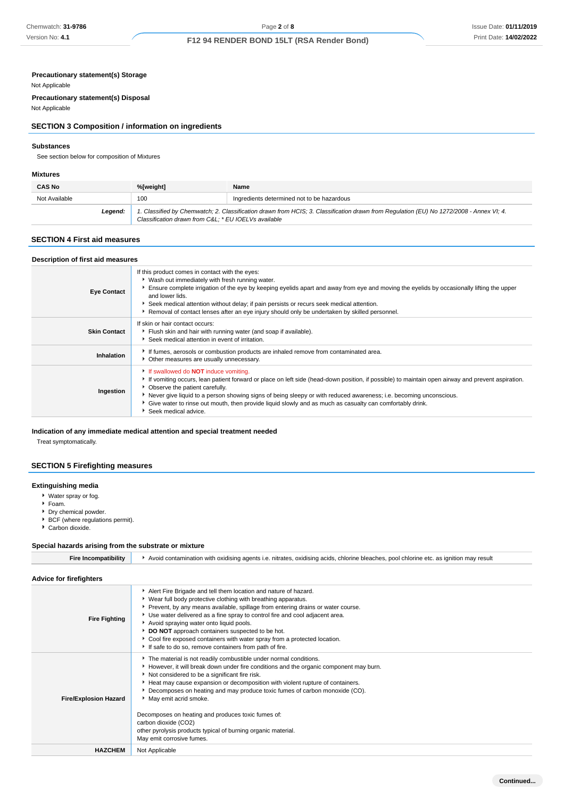# **Precautionary statement(s) Storage**

Not Applicable

**Precautionary statement(s) Disposal**

# Not Applicable

## **SECTION 3 Composition / information on ingredients**

#### **Substances**

See section below for composition of Mixtures

#### **Mixtures**

| <b>CAS No</b> | %[weight]                                                                                                                                                                                      | Name                                       |
|---------------|------------------------------------------------------------------------------------------------------------------------------------------------------------------------------------------------|--------------------------------------------|
| Not Available | 100                                                                                                                                                                                            | Ingredients determined not to be hazardous |
| Leaend:       | 1. Classified by Chemwatch; 2. Classification drawn from HCIS; 3. Classification drawn from Regulation (EU) No 1272/2008 - Annex VI; 4.<br>Classification drawn from C&L * EU IOELVs available |                                            |

## **SECTION 4 First aid measures**

| Description of first aid measures |                                                                                                                                                                                                                                                                                                                                                                                                                                                                                              |  |  |
|-----------------------------------|----------------------------------------------------------------------------------------------------------------------------------------------------------------------------------------------------------------------------------------------------------------------------------------------------------------------------------------------------------------------------------------------------------------------------------------------------------------------------------------------|--|--|
| <b>Eye Contact</b>                | If this product comes in contact with the eyes:<br>▶ Wash out immediately with fresh running water.<br>Ensure complete irrigation of the eye by keeping eyelids apart and away from eye and moving the eyelids by occasionally lifting the upper<br>and lower lids.<br>▶ Seek medical attention without delay; if pain persists or recurs seek medical attention.<br>▶ Removal of contact lenses after an eye injury should only be undertaken by skilled personnel.                         |  |  |
| <b>Skin Contact</b>               | If skin or hair contact occurs:<br>Flush skin and hair with running water (and soap if available).<br>Seek medical attention in event of irritation.                                                                                                                                                                                                                                                                                                                                         |  |  |
| Inhalation                        | If fumes, aerosols or combustion products are inhaled remove from contaminated area.<br>Other measures are usually unnecessary.                                                                                                                                                                                                                                                                                                                                                              |  |  |
| Ingestion                         | If swallowed do <b>NOT</b> induce vomiting.<br>If vomiting occurs, lean patient forward or place on left side (head-down position, if possible) to maintain open airway and prevent aspiration.<br>▶ Observe the patient carefully.<br>Never give liquid to a person showing signs of being sleepy or with reduced awareness; i.e. becoming unconscious.<br>Give water to rinse out mouth, then provide liquid slowly and as much as casualty can comfortably drink.<br>Seek medical advice. |  |  |

## **Indication of any immediate medical attention and special treatment needed**

Treat symptomatically.

## **SECTION 5 Firefighting measures**

## **Extinguishing media**

- Water spray or fog.
- Foam.
- Dry chemical powder.
- BCF (where regulations permit).
- Carbon dioxide.

## **Special hazards arising from the substrate or mixture**

| Avoid contamination with oxidising agents i.e. nitrates, oxidising acids, chlorine bleaches, pool chlorine etc. as ignition may result                                                                                                                                                                                                                                                                                                                                                                                                                                         |  |  |  |  |
|--------------------------------------------------------------------------------------------------------------------------------------------------------------------------------------------------------------------------------------------------------------------------------------------------------------------------------------------------------------------------------------------------------------------------------------------------------------------------------------------------------------------------------------------------------------------------------|--|--|--|--|
|                                                                                                                                                                                                                                                                                                                                                                                                                                                                                                                                                                                |  |  |  |  |
| Alert Fire Brigade and tell them location and nature of hazard.<br>▶ Wear full body protective clothing with breathing apparatus.<br>▶ Prevent, by any means available, spillage from entering drains or water course.<br>Use water delivered as a fine spray to control fire and cool adjacent area.<br>Avoid spraying water onto liquid pools.<br>DO NOT approach containers suspected to be hot.<br>Cool fire exposed containers with water spray from a protected location.<br>If safe to do so, remove containers from path of fire.                                      |  |  |  |  |
| The material is not readily combustible under normal conditions.<br>However, it will break down under fire conditions and the organic component may burn.<br>Not considered to be a significant fire risk.<br>Heat may cause expansion or decomposition with violent rupture of containers.<br>Decomposes on heating and may produce toxic fumes of carbon monoxide (CO).<br>May emit acrid smoke.<br>Decomposes on heating and produces toxic fumes of:<br>carbon dioxide (CO2)<br>other pyrolysis products typical of burning organic material.<br>May emit corrosive fumes. |  |  |  |  |
| Not Applicable                                                                                                                                                                                                                                                                                                                                                                                                                                                                                                                                                                 |  |  |  |  |
|                                                                                                                                                                                                                                                                                                                                                                                                                                                                                                                                                                                |  |  |  |  |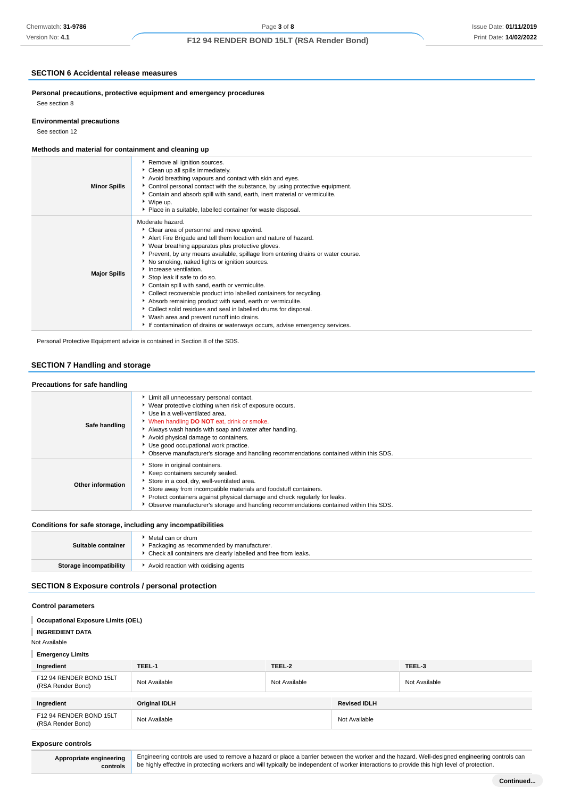## **SECTION 6 Accidental release measures**

**Personal precautions, protective equipment and emergency procedures** See section 8

## **Environmental precautions**

See section 12

## **Methods and material for containment and cleaning up**

| <b>Minor Spills</b> | Remove all ignition sources.<br>Clean up all spills immediately.<br>Avoid breathing vapours and contact with skin and eyes.<br>▶ Control personal contact with the substance, by using protective equipment.<br>Contain and absorb spill with sand, earth, inert material or vermiculite.<br>▶ Wipe up.<br>• Place in a suitable, labelled container for waste disposal.                                                                                                                                                                                                                                                                                                                                                                                                    |
|---------------------|-----------------------------------------------------------------------------------------------------------------------------------------------------------------------------------------------------------------------------------------------------------------------------------------------------------------------------------------------------------------------------------------------------------------------------------------------------------------------------------------------------------------------------------------------------------------------------------------------------------------------------------------------------------------------------------------------------------------------------------------------------------------------------|
| <b>Major Spills</b> | Moderate hazard.<br>• Clear area of personnel and move upwind.<br>Alert Fire Brigade and tell them location and nature of hazard.<br>▶ Wear breathing apparatus plus protective gloves.<br>▶ Prevent, by any means available, spillage from entering drains or water course.<br>No smoking, naked lights or ignition sources.<br>Increase ventilation.<br>Stop leak if safe to do so.<br>Contain spill with sand, earth or vermiculite.<br>Collect recoverable product into labelled containers for recycling.<br>Absorb remaining product with sand, earth or vermiculite.<br>Collect solid residues and seal in labelled drums for disposal.<br>▶ Wash area and prevent runoff into drains.<br>If contamination of drains or waterways occurs, advise emergency services. |

Personal Protective Equipment advice is contained in Section 8 of the SDS.

## **SECTION 7 Handling and storage**

## **Precautions for safe handling**

| Safe handling            | Limit all unnecessary personal contact.<br>▶ Wear protective clothing when risk of exposure occurs.<br>Use in a well-ventilated area.<br>V When handling DO NOT eat, drink or smoke.<br>Always wash hands with soap and water after handling.<br>Avoid physical damage to containers.<br>Use good occupational work practice.<br>• Observe manufacturer's storage and handling recommendations contained within this SDS. |
|--------------------------|---------------------------------------------------------------------------------------------------------------------------------------------------------------------------------------------------------------------------------------------------------------------------------------------------------------------------------------------------------------------------------------------------------------------------|
| <b>Other information</b> | Store in original containers.<br>Keep containers securely sealed.<br>Store in a cool, dry, well-ventilated area.<br>Store away from incompatible materials and foodstuff containers.<br>• Protect containers against physical damage and check regularly for leaks.<br>• Observe manufacturer's storage and handling recommendations contained within this SDS.                                                           |

## **Conditions for safe storage, including any incompatibilities**

| Suitable container      | Metal can or drum<br>Packaging as recommended by manufacturer.<br>Check all containers are clearly labelled and free from leaks. |
|-------------------------|----------------------------------------------------------------------------------------------------------------------------------|
| Storage incompatibility | Avoid reaction with oxidising agents                                                                                             |

## **SECTION 8 Exposure controls / personal protection**

## **Control parameters**

| <b>Occupational Exposure Limits (OEL)</b>    |                      |               |                     |               |
|----------------------------------------------|----------------------|---------------|---------------------|---------------|
| <b>INGREDIENT DATA</b>                       |                      |               |                     |               |
| Not Available                                |                      |               |                     |               |
| <b>Emergency Limits</b>                      |                      |               |                     |               |
| Ingredient                                   | TEEL-1               | TEEL-2        |                     | TEEL-3        |
| F12 94 RENDER BOND 15LT<br>(RSA Render Bond) | Not Available        | Not Available |                     | Not Available |
|                                              |                      |               |                     |               |
| Ingredient                                   | <b>Original IDLH</b> |               | <b>Revised IDLH</b> |               |
| F12 94 RENDER BOND 15LT<br>(RSA Render Bond) | Not Available        |               | Not Available       |               |
|                                              |                      |               |                     |               |

#### **Exposure controls**

**Appropriate engineering controls**

Engineering controls are used to remove a hazard or place a barrier between the worker and the hazard. Well-designed engineering controls can be highly effective in protecting workers and will typically be independent of worker interactions to provide this high level of protection.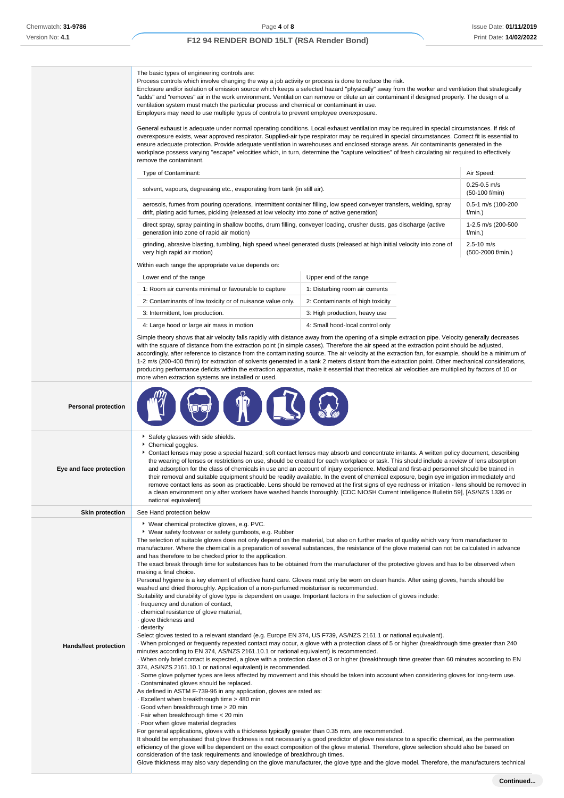|                            | The basic types of engineering controls are:<br>Process controls which involve changing the way a job activity or process is done to reduce the risk.<br>Enclosure and/or isolation of emission source which keeps a selected hazard "physically" away from the worker and ventilation that strategically<br>"adds" and "removes" air in the work environment. Ventilation can remove or dilute an air contaminant if designed properly. The design of a<br>ventilation system must match the particular process and chemical or contaminant in use.<br>Employers may need to use multiple types of controls to prevent employee overexposure.<br>General exhaust is adequate under normal operating conditions. Local exhaust ventilation may be required in special circumstances. If risk of<br>overexposure exists, wear approved respirator. Supplied-air type respirator may be required in special circumstances. Correct fit is essential to<br>ensure adequate protection. Provide adequate ventilation in warehouses and enclosed storage areas. Air contaminants generated in the<br>workplace possess varying "escape" velocities which, in turn, determine the "capture velocities" of fresh circulating air required to effectively<br>remove the contaminant.<br>Type of Contaminant:<br>solvent, vapours, degreasing etc., evaporating from tank (in still air).<br>aerosols, fumes from pouring operations, intermittent container filling, low speed conveyer transfers, welding, spray<br>drift, plating acid fumes, pickling (released at low velocity into zone of active generation)                                                                                                                                                                                                                                                                                                                                                                                                                                                                                                                                                                                                                                                                                                                                                                                                                                                                                                                                                         |                                  | Air Speed:<br>$0.25 - 0.5$ m/s<br>(50-100 f/min)<br>0.5-1 m/s (100-200<br>f/min.) |
|----------------------------|--------------------------------------------------------------------------------------------------------------------------------------------------------------------------------------------------------------------------------------------------------------------------------------------------------------------------------------------------------------------------------------------------------------------------------------------------------------------------------------------------------------------------------------------------------------------------------------------------------------------------------------------------------------------------------------------------------------------------------------------------------------------------------------------------------------------------------------------------------------------------------------------------------------------------------------------------------------------------------------------------------------------------------------------------------------------------------------------------------------------------------------------------------------------------------------------------------------------------------------------------------------------------------------------------------------------------------------------------------------------------------------------------------------------------------------------------------------------------------------------------------------------------------------------------------------------------------------------------------------------------------------------------------------------------------------------------------------------------------------------------------------------------------------------------------------------------------------------------------------------------------------------------------------------------------------------------------------------------------------------------------------------------------------------------------------------------------------------------------------------------------------------------------------------------------------------------------------------------------------------------------------------------------------------------------------------------------------------------------------------------------------------------------------------------------------------------------------------------------------------------------------------------------------------------------------------|----------------------------------|-----------------------------------------------------------------------------------|
|                            | direct spray, spray painting in shallow booths, drum filling, conveyer loading, crusher dusts, gas discharge (active<br>generation into zone of rapid air motion)                                                                                                                                                                                                                                                                                                                                                                                                                                                                                                                                                                                                                                                                                                                                                                                                                                                                                                                                                                                                                                                                                                                                                                                                                                                                                                                                                                                                                                                                                                                                                                                                                                                                                                                                                                                                                                                                                                                                                                                                                                                                                                                                                                                                                                                                                                                                                                                                  |                                  | 1-2.5 m/s (200-500<br>f/min.)                                                     |
|                            | grinding, abrasive blasting, tumbling, high speed wheel generated dusts (released at high initial velocity into zone of<br>very high rapid air motion)                                                                                                                                                                                                                                                                                                                                                                                                                                                                                                                                                                                                                                                                                                                                                                                                                                                                                                                                                                                                                                                                                                                                                                                                                                                                                                                                                                                                                                                                                                                                                                                                                                                                                                                                                                                                                                                                                                                                                                                                                                                                                                                                                                                                                                                                                                                                                                                                             |                                  | $2.5 - 10$ m/s<br>(500-2000 f/min.)                                               |
|                            | Within each range the appropriate value depends on:                                                                                                                                                                                                                                                                                                                                                                                                                                                                                                                                                                                                                                                                                                                                                                                                                                                                                                                                                                                                                                                                                                                                                                                                                                                                                                                                                                                                                                                                                                                                                                                                                                                                                                                                                                                                                                                                                                                                                                                                                                                                                                                                                                                                                                                                                                                                                                                                                                                                                                                |                                  |                                                                                   |
|                            | Lower end of the range                                                                                                                                                                                                                                                                                                                                                                                                                                                                                                                                                                                                                                                                                                                                                                                                                                                                                                                                                                                                                                                                                                                                                                                                                                                                                                                                                                                                                                                                                                                                                                                                                                                                                                                                                                                                                                                                                                                                                                                                                                                                                                                                                                                                                                                                                                                                                                                                                                                                                                                                             | Upper end of the range           |                                                                                   |
|                            | 1: Room air currents minimal or favourable to capture                                                                                                                                                                                                                                                                                                                                                                                                                                                                                                                                                                                                                                                                                                                                                                                                                                                                                                                                                                                                                                                                                                                                                                                                                                                                                                                                                                                                                                                                                                                                                                                                                                                                                                                                                                                                                                                                                                                                                                                                                                                                                                                                                                                                                                                                                                                                                                                                                                                                                                              | 1: Disturbing room air currents  |                                                                                   |
|                            | 2: Contaminants of low toxicity or of nuisance value only.                                                                                                                                                                                                                                                                                                                                                                                                                                                                                                                                                                                                                                                                                                                                                                                                                                                                                                                                                                                                                                                                                                                                                                                                                                                                                                                                                                                                                                                                                                                                                                                                                                                                                                                                                                                                                                                                                                                                                                                                                                                                                                                                                                                                                                                                                                                                                                                                                                                                                                         | 2: Contaminants of high toxicity |                                                                                   |
|                            | 3: Intermittent, low production.                                                                                                                                                                                                                                                                                                                                                                                                                                                                                                                                                                                                                                                                                                                                                                                                                                                                                                                                                                                                                                                                                                                                                                                                                                                                                                                                                                                                                                                                                                                                                                                                                                                                                                                                                                                                                                                                                                                                                                                                                                                                                                                                                                                                                                                                                                                                                                                                                                                                                                                                   | 3: High production, heavy use    |                                                                                   |
|                            | 4: Large hood or large air mass in motion                                                                                                                                                                                                                                                                                                                                                                                                                                                                                                                                                                                                                                                                                                                                                                                                                                                                                                                                                                                                                                                                                                                                                                                                                                                                                                                                                                                                                                                                                                                                                                                                                                                                                                                                                                                                                                                                                                                                                                                                                                                                                                                                                                                                                                                                                                                                                                                                                                                                                                                          | 4: Small hood-local control only |                                                                                   |
|                            | Simple theory shows that air velocity falls rapidly with distance away from the opening of a simple extraction pipe. Velocity generally decreases<br>with the square of distance from the extraction point (in simple cases). Therefore the air speed at the extraction point should be adjusted,<br>accordingly, after reference to distance from the contaminating source. The air velocity at the extraction fan, for example, should be a minimum of<br>1-2 m/s (200-400 f/min) for extraction of solvents generated in a tank 2 meters distant from the extraction point. Other mechanical considerations,<br>producing performance deficits within the extraction apparatus, make it essential that theoretical air velocities are multiplied by factors of 10 or<br>more when extraction systems are installed or used.                                                                                                                                                                                                                                                                                                                                                                                                                                                                                                                                                                                                                                                                                                                                                                                                                                                                                                                                                                                                                                                                                                                                                                                                                                                                                                                                                                                                                                                                                                                                                                                                                                                                                                                                     |                                  |                                                                                   |
| <b>Personal protection</b> |                                                                                                                                                                                                                                                                                                                                                                                                                                                                                                                                                                                                                                                                                                                                                                                                                                                                                                                                                                                                                                                                                                                                                                                                                                                                                                                                                                                                                                                                                                                                                                                                                                                                                                                                                                                                                                                                                                                                                                                                                                                                                                                                                                                                                                                                                                                                                                                                                                                                                                                                                                    |                                  |                                                                                   |
| Eye and face protection    | Safety glasses with side shields.<br>Chemical goggles.<br>Contact lenses may pose a special hazard; soft contact lenses may absorb and concentrate irritants. A written policy document, describing<br>the wearing of lenses or restrictions on use, should be created for each workplace or task. This should include a review of lens absorption<br>and adsorption for the class of chemicals in use and an account of injury experience. Medical and first-aid personnel should be trained in<br>their removal and suitable equipment should be readily available. In the event of chemical exposure, begin eye irrigation immediately and<br>remove contact lens as soon as practicable. Lens should be removed at the first signs of eye redness or irritation - lens should be removed in<br>a clean environment only after workers have washed hands thoroughly. [CDC NIOSH Current Intelligence Bulletin 59], [AS/NZS 1336 or<br>national equivalent]                                                                                                                                                                                                                                                                                                                                                                                                                                                                                                                                                                                                                                                                                                                                                                                                                                                                                                                                                                                                                                                                                                                                                                                                                                                                                                                                                                                                                                                                                                                                                                                                      |                                  |                                                                                   |
| <b>Skin protection</b>     | See Hand protection below                                                                                                                                                                                                                                                                                                                                                                                                                                                                                                                                                                                                                                                                                                                                                                                                                                                                                                                                                                                                                                                                                                                                                                                                                                                                                                                                                                                                                                                                                                                                                                                                                                                                                                                                                                                                                                                                                                                                                                                                                                                                                                                                                                                                                                                                                                                                                                                                                                                                                                                                          |                                  |                                                                                   |
| Hands/feet protection      | ▶ Wear chemical protective gloves, e.g. PVC.<br>▶ Wear safety footwear or safety gumboots, e.g. Rubber<br>The selection of suitable gloves does not only depend on the material, but also on further marks of quality which vary from manufacturer to<br>manufacturer. Where the chemical is a preparation of several substances, the resistance of the glove material can not be calculated in advance<br>and has therefore to be checked prior to the application.<br>The exact break through time for substances has to be obtained from the manufacturer of the protective gloves and has to be observed when<br>making a final choice.<br>Personal hygiene is a key element of effective hand care. Gloves must only be worn on clean hands. After using gloves, hands should be<br>washed and dried thoroughly. Application of a non-perfumed moisturiser is recommended.<br>Suitability and durability of glove type is dependent on usage. Important factors in the selection of gloves include:<br>- frequency and duration of contact,<br>chemical resistance of glove material,<br>· glove thickness and<br>- dexterity<br>Select gloves tested to a relevant standard (e.g. Europe EN 374, US F739, AS/NZS 2161.1 or national equivalent).<br>When prolonged or frequently repeated contact may occur, a glove with a protection class of 5 or higher (breakthrough time greater than 240<br>minutes according to EN 374, AS/NZS 2161.10.1 or national equivalent) is recommended.<br>· When only brief contact is expected, a glove with a protection class of 3 or higher (breakthrough time greater than 60 minutes according to EN<br>374, AS/NZS 2161.10.1 or national equivalent) is recommended.<br>. Some glove polymer types are less affected by movement and this should be taken into account when considering gloves for long-term use.<br>Contaminated gloves should be replaced.<br>As defined in ASTM F-739-96 in any application, gloves are rated as:<br>Excellent when breakthrough time > 480 min<br>Good when breakthrough time > 20 min<br>· Fair when breakthrough time < 20 min<br>· Poor when glove material degrades<br>For general applications, gloves with a thickness typically greater than 0.35 mm, are recommended.<br>It should be emphasised that glove thickness is not necessarily a good predictor of glove resistance to a specific chemical, as the permeation<br>efficiency of the glove will be dependent on the exact composition of the glove material. Therefore, glove selection should also be based on |                                  |                                                                                   |

consideration of the task requirements and knowledge of breakthrough times.

Glove thickness may also vary depending on the glove manufacturer, the glove type and the glove model. Therefore, the manufacturers technical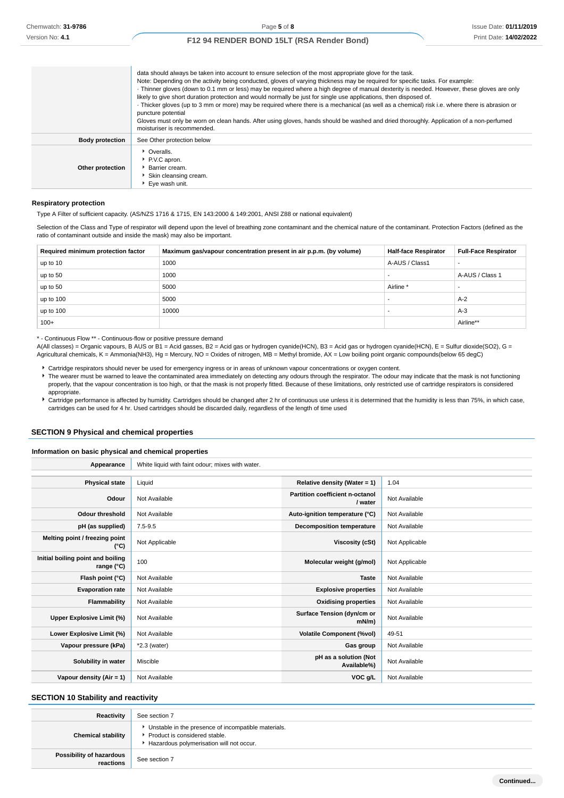|                        | data should always be taken into account to ensure selection of the most appropriate glove for the task.<br>Note: Depending on the activity being conducted, gloves of varying thickness may be required for specific tasks. For example:<br>· Thinner gloves (down to 0.1 mm or less) may be required where a high degree of manual dexterity is needed. However, these gloves are only<br>likely to give short duration protection and would normally be just for single use applications, then disposed of.<br>· Thicker gloves (up to 3 mm or more) may be required where there is a mechanical (as well as a chemical) risk i.e. where there is abrasion or<br>puncture potential<br>Gloves must only be worn on clean hands. After using gloves, hands should be washed and dried thoroughly. Application of a non-perfumed<br>moisturiser is recommended. |
|------------------------|------------------------------------------------------------------------------------------------------------------------------------------------------------------------------------------------------------------------------------------------------------------------------------------------------------------------------------------------------------------------------------------------------------------------------------------------------------------------------------------------------------------------------------------------------------------------------------------------------------------------------------------------------------------------------------------------------------------------------------------------------------------------------------------------------------------------------------------------------------------|
| <b>Body protection</b> | See Other protection below                                                                                                                                                                                                                                                                                                                                                                                                                                                                                                                                                                                                                                                                                                                                                                                                                                       |
| Other protection       | • Overalls.<br>P.V.C apron.<br><b>Barrier cream.</b><br>Skin cleansing cream.<br>▶ Eve wash unit.                                                                                                                                                                                                                                                                                                                                                                                                                                                                                                                                                                                                                                                                                                                                                                |

#### **Respiratory protection**

Type A Filter of sufficient capacity. (AS/NZS 1716 & 1715, EN 143:2000 & 149:2001, ANSI Z88 or national equivalent)

Selection of the Class and Type of respirator will depend upon the level of breathing zone contaminant and the chemical nature of the contaminant. Protection Factors (defined as the ratio of contaminant outside and inside the mask) may also be important.

| Required minimum protection factor | Maximum gas/vapour concentration present in air p.p.m. (by volume) | <b>Half-face Respirator</b> | <b>Full-Face Respirator</b> |
|------------------------------------|--------------------------------------------------------------------|-----------------------------|-----------------------------|
| up to 10                           | 1000                                                               | A-AUS / Class1              |                             |
| up to 50                           | 1000                                                               |                             | A-AUS / Class 1             |
| up to 50                           | 5000                                                               | Airline <sup>*</sup>        |                             |
| up to 100                          | 5000                                                               |                             | $A-2$                       |
| up to 100                          | 10000                                                              |                             | $A-3$                       |
| $100+$                             |                                                                    |                             | Airline**                   |

\* - Continuous Flow \*\* - Continuous-flow or positive pressure demand

A(All classes) = Organic vapours, B AUS or B1 = Acid gasses, B2 = Acid gas or hydrogen cyanide(HCN), B3 = Acid gas or hydrogen cyanide(HCN), E = Sulfur dioxide(SO2), G = Agricultural chemicals, K = Ammonia(NH3), Hg = Mercury, NO = Oxides of nitrogen, MB = Methyl bromide, AX = Low boiling point organic compounds(below 65 degC)

- Cartridge respirators should never be used for emergency ingress or in areas of unknown vapour concentrations or oxygen content.
- The wearer must be warned to leave the contaminated area immediately on detecting any odours through the respirator. The odour may indicate that the mask is not functioning properly, that the vapour concentration is too high, or that the mask is not properly fitted. Because of these limitations, only restricted use of cartridge respirators is considered appropriate.
- Cartridge performance is affected by humidity. Cartridges should be changed after 2 hr of continuous use unless it is determined that the humidity is less than 75%, in which case, cartridges can be used for 4 hr. Used cartridges should be discarded daily, regardless of the length of time used

## **SECTION 9 Physical and chemical properties**

#### **Information on basic physical and chemical properties**

| Appearance                                      | White liquid with faint odour; mixes with water. |                                            |                |
|-------------------------------------------------|--------------------------------------------------|--------------------------------------------|----------------|
|                                                 |                                                  |                                            |                |
| <b>Physical state</b>                           | Liquid                                           | Relative density (Water = $1$ )            | 1.04           |
| Odour                                           | Not Available                                    | Partition coefficient n-octanol<br>/ water | Not Available  |
| <b>Odour threshold</b>                          | Not Available                                    | Auto-ignition temperature (°C)             | Not Available  |
| pH (as supplied)                                | $7.5 - 9.5$                                      | <b>Decomposition temperature</b>           | Not Available  |
| Melting point / freezing point<br>$(^{\circ}C)$ | Not Applicable                                   | <b>Viscosity (cSt)</b>                     | Not Applicable |
| Initial boiling point and boiling<br>range (°C) | 100                                              | Molecular weight (g/mol)                   | Not Applicable |
| Flash point (°C)                                | Not Available                                    | <b>Taste</b>                               | Not Available  |
| <b>Evaporation rate</b>                         | Not Available                                    | <b>Explosive properties</b>                | Not Available  |
| Flammability                                    | Not Available                                    | <b>Oxidising properties</b>                | Not Available  |
| Upper Explosive Limit (%)                       | Not Available                                    | Surface Tension (dyn/cm or<br>$mN/m$ )     | Not Available  |
| Lower Explosive Limit (%)                       | Not Available                                    | <b>Volatile Component (%vol)</b>           | 49-51          |
| Vapour pressure (kPa)                           | $*2.3$ (water)                                   | Gas group                                  | Not Available  |
| Solubility in water                             | Miscible                                         | pH as a solution (Not<br>Available%)       | Not Available  |
| Vapour density (Air = 1)                        | Not Available                                    | VOC g/L                                    | Not Available  |

## **SECTION 10 Stability and reactivity**

| Reactivity                            | See section 7                                                                                                                      |
|---------------------------------------|------------------------------------------------------------------------------------------------------------------------------------|
| <b>Chemical stability</b>             | • Unstable in the presence of incompatible materials.<br>Product is considered stable.<br>Hazardous polymerisation will not occur. |
| Possibility of hazardous<br>reactions | See section 7                                                                                                                      |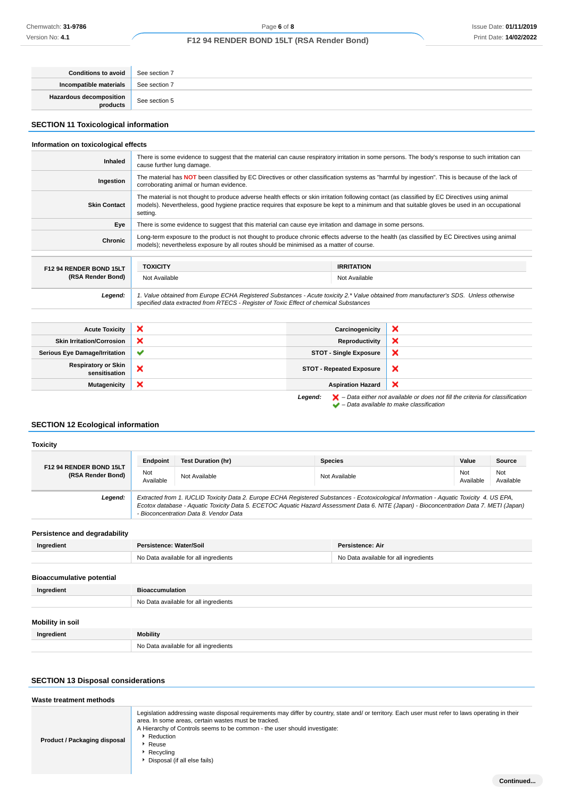| Conditions to avoid                 | See section 7 |
|-------------------------------------|---------------|
| Incompatible materials              | See section 7 |
| Hazardous decomposition<br>products | See section 5 |

# **SECTION 11 Toxicological information**

## **Information on toxicological effects**

| Inhaled                 | There is some evidence to suggest that the material can cause respiratory irritation in some persons. The body's response to such irritation can<br>cause further lung damage.                                                                                                                              |                   |  |
|-------------------------|-------------------------------------------------------------------------------------------------------------------------------------------------------------------------------------------------------------------------------------------------------------------------------------------------------------|-------------------|--|
| Ingestion               | The material has NOT been classified by EC Directives or other classification systems as "harmful by ingestion". This is because of the lack of<br>corroborating animal or human evidence.                                                                                                                  |                   |  |
| <b>Skin Contact</b>     | The material is not thought to produce adverse health effects or skin irritation following contact (as classified by EC Directives using animal<br>models). Nevertheless, good hygiene practice requires that exposure be kept to a minimum and that suitable gloves be used in an occupational<br>setting. |                   |  |
| Eye                     | There is some evidence to suggest that this material can cause eye irritation and damage in some persons.                                                                                                                                                                                                   |                   |  |
| Chronic                 | Long-term exposure to the product is not thought to produce chronic effects adverse to the health (as classified by EC Directives using animal<br>models); nevertheless exposure by all routes should be minimised as a matter of course.                                                                   |                   |  |
|                         |                                                                                                                                                                                                                                                                                                             |                   |  |
| F12 94 RENDER BOND 15LT | <b>TOXICITY</b>                                                                                                                                                                                                                                                                                             | <b>IRRITATION</b> |  |
| (RSA Render Bond)       | Not Available                                                                                                                                                                                                                                                                                               | Not Available     |  |
| Legend:                 | 1. Value obtained from Europe ECHA Registered Substances - Acute toxicity 2.* Value obtained from manufacturer's SDS. Unless otherwise<br>specified data extracted from RTECS - Register of Toxic Effect of chemical Substances                                                                             |                   |  |
|                         |                                                                                                                                                                                                                                                                                                             |                   |  |

| <b>Acute Toxicity</b>                       | $\boldsymbol{\mathsf{x}}$ | Carcinogenicity                 | ×                                                                                                                                                                   |
|---------------------------------------------|---------------------------|---------------------------------|---------------------------------------------------------------------------------------------------------------------------------------------------------------------|
| <b>Skin Irritation/Corrosion</b>            | ×                         | Reproductivity                  | ×                                                                                                                                                                   |
| <b>Serious Eye Damage/Irritation</b>        | $\checkmark$              | <b>STOT - Single Exposure</b>   | ×                                                                                                                                                                   |
| <b>Respiratory or Skin</b><br>sensitisation | ×                         | <b>STOT - Repeated Exposure</b> | ×                                                                                                                                                                   |
| Mutagenicity                                | ×                         | <b>Aspiration Hazard</b>        | ×                                                                                                                                                                   |
|                                             |                           | Legend:                         | $\blacktriangleright$ - Data either not available or does not fill the criteria for classification<br>$\blacktriangleright$ - Data available to make classification |

## **SECTION 12 Ecological information**

## **Toxicity**

|                                              | Endpoint                                                                                                                                                                                                                                                                                                                       | <b>Test Duration (hr)</b> | <b>Species</b> | Value            | <b>Source</b>    |
|----------------------------------------------|--------------------------------------------------------------------------------------------------------------------------------------------------------------------------------------------------------------------------------------------------------------------------------------------------------------------------------|---------------------------|----------------|------------------|------------------|
| F12 94 RENDER BOND 15LT<br>(RSA Render Bond) | Not<br>Available                                                                                                                                                                                                                                                                                                               | Not Available             | Not Available  | Not<br>Available | Not<br>Available |
| Legend:                                      | Extracted from 1. IUCLID Toxicity Data 2. Europe ECHA Registered Substances - Ecotoxicological Information - Aquatic Toxicity 4. US EPA,<br>Ecotox database - Aquatic Toxicity Data 5. ECETOC Aquatic Hazard Assessment Data 6. NITE (Japan) - Bioconcentration Data 7. METI (Japan)<br>- Bioconcentration Data 8. Vendor Data |                           |                |                  |                  |

# **Persistence and degradability**

| Ingredient | Persistence: Water/Soil               | <b>Persistence: Air</b>               |
|------------|---------------------------------------|---------------------------------------|
|            | No Data available for all ingredients | No Data available for all ingredients |

# **Bioaccumulative potential**

| Ingredient       | <b>Bioaccumulation</b>                |
|------------------|---------------------------------------|
|                  | No Data available for all ingredients |
| Mobility in soil |                                       |
| Ingredient       | Mobility                              |
|                  | No Data available for all ingredients |

# **SECTION 13 Disposal considerations**

| Waste treatment methods      |                                                                                                                                                                                                                                                                                                                                                           |
|------------------------------|-----------------------------------------------------------------------------------------------------------------------------------------------------------------------------------------------------------------------------------------------------------------------------------------------------------------------------------------------------------|
| Product / Packaging disposal | Legislation addressing waste disposal requirements may differ by country, state and/or territory. Each user must refer to laws operating in their<br>area. In some areas, certain wastes must be tracked.<br>A Hierarchy of Controls seems to be common - the user should investigate:<br>Reduction<br>Reuse<br>Recycling<br>Disposal (if all else fails) |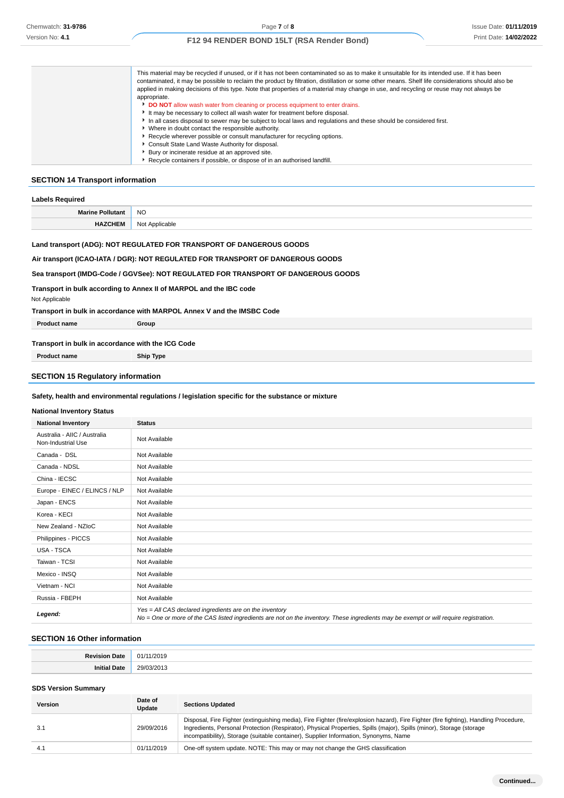| This material may be recycled if unused, or if it has not been contaminated so as to make it unsuitable for its intended use. If it has been      |
|---------------------------------------------------------------------------------------------------------------------------------------------------|
| contaminated, it may be possible to reclaim the product by filtration, distillation or some other means. Shelf life considerations should also be |
| applied in making decisions of this type. Note that properties of a material may change in use, and recycling or reuse may not always be          |
| appropriate.                                                                                                                                      |
| DO NOT allow wash water from cleaning or process equipment to enter drains.                                                                       |
| It may be necessary to collect all wash water for treatment before disposal.                                                                      |
| In all cases disposal to sewer may be subject to local laws and regulations and these should be considered first.                                 |
| • Where in doubt contact the responsible authority.                                                                                               |
| ▶ Recycle wherever possible or consult manufacturer for recycling options.                                                                        |
| Consult State Land Waste Authority for disposal.                                                                                                  |
| ▶ Bury or incinerate residue at an approved site.                                                                                                 |
| Recycle containers if possible, or dispose of in an authorised landfill.                                                                          |

## **SECTION 14 Transport information**

| <b>Labels Required</b>  |                |  |
|-------------------------|----------------|--|
| <b>Marine Pollutant</b> | <b>NO</b>      |  |
| <b>HAZCHEM</b>          | Not Applicable |  |

## **Land transport (ADG): NOT REGULATED FOR TRANSPORT OF DANGEROUS GOODS**

## **Air transport (ICAO-IATA / DGR): NOT REGULATED FOR TRANSPORT OF DANGEROUS GOODS**

## **Sea transport (IMDG-Code / GGVSee): NOT REGULATED FOR TRANSPORT OF DANGEROUS GOODS**

**Transport in bulk according to Annex II of MARPOL and the IBC code**

Not Applicable

## **Transport in bulk in accordance with MARPOL Annex V and the IMSBC Code**

| <b>Product name</b>                               | Group |
|---------------------------------------------------|-------|
|                                                   |       |
| Transport in bulk in accordance with the ICG Code |       |

**Product name Ship Type**

## **SECTION 15 Regulatory information**

### **Safety, health and environmental regulations / legislation specific for the substance or mixture**

#### **National Inventory Status**

| <b>National Inventory</b>                          | <b>Status</b>                                                                                                                                                                                     |  |
|----------------------------------------------------|---------------------------------------------------------------------------------------------------------------------------------------------------------------------------------------------------|--|
| Australia - AIIC / Australia<br>Non-Industrial Use | Not Available                                                                                                                                                                                     |  |
| Canada - DSL                                       | Not Available                                                                                                                                                                                     |  |
| Canada - NDSL                                      | Not Available                                                                                                                                                                                     |  |
| China - IECSC                                      | Not Available                                                                                                                                                                                     |  |
| Europe - EINEC / ELINCS / NLP                      | Not Available                                                                                                                                                                                     |  |
| Japan - ENCS                                       | Not Available                                                                                                                                                                                     |  |
| Korea - KECI                                       | Not Available                                                                                                                                                                                     |  |
| New Zealand - NZIoC                                | Not Available                                                                                                                                                                                     |  |
| Philippines - PICCS                                | Not Available                                                                                                                                                                                     |  |
| USA - TSCA                                         | Not Available                                                                                                                                                                                     |  |
| Taiwan - TCSI                                      | Not Available                                                                                                                                                                                     |  |
| Mexico - INSQ                                      | Not Available                                                                                                                                                                                     |  |
| Vietnam - NCI                                      | Not Available                                                                                                                                                                                     |  |
| Russia - FBEPH                                     | Not Available                                                                                                                                                                                     |  |
| Legend:                                            | Yes = All CAS declared ingredients are on the inventory<br>No = One or more of the CAS listed ingredients are not on the inventory. These ingredients may be exempt or will require registration. |  |

## **SECTION 16 Other information**

| . . | ,,,        |
|-----|------------|
|     | יי הר<br>. |

## **SDS Version Summary**

| <b>Version</b> | Date of<br>Update | <b>Sections Updated</b>                                                                                                                                                                                                                                                                                                                               |
|----------------|-------------------|-------------------------------------------------------------------------------------------------------------------------------------------------------------------------------------------------------------------------------------------------------------------------------------------------------------------------------------------------------|
| 3.1            | 29/09/2016        | Disposal, Fire Fighter (extinguishing media), Fire Fighter (fire/explosion hazard), Fire Fighter (fire fighting), Handling Procedure,<br>Ingredients, Personal Protection (Respirator), Physical Properties, Spills (major), Spills (minor), Storage (storage<br>incompatibility), Storage (suitable container), Supplier Information, Synonyms, Name |
| 4.1            | 01/11/2019        | One-off system update. NOTE: This may or may not change the GHS classification                                                                                                                                                                                                                                                                        |